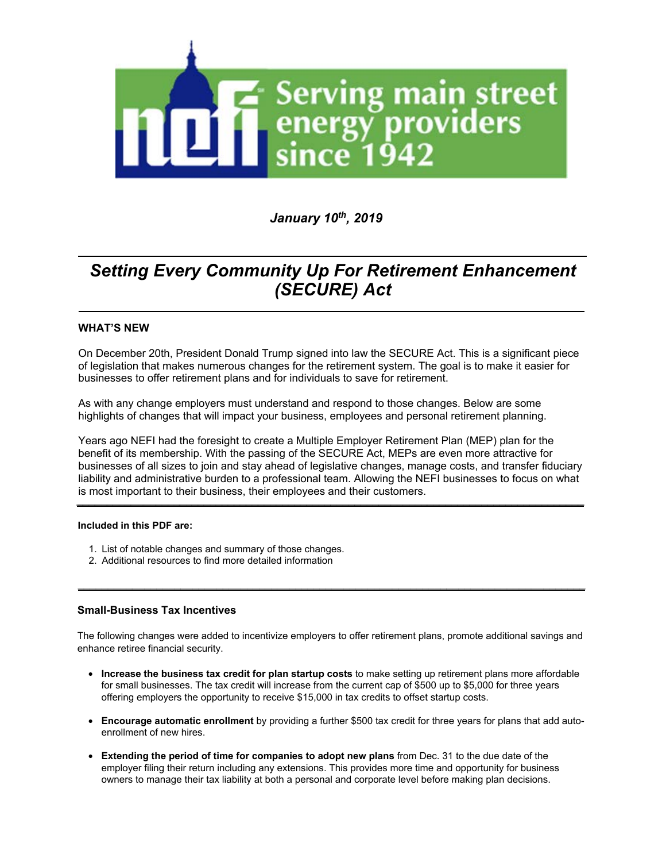

*January 10<sup>t</sup><sup>h</sup> , 2019*

# *Setting Every Community Up For Retirement Enhancement (SECURE) Act*

*\_\_\_\_\_\_\_\_\_\_\_\_\_\_\_\_\_\_\_\_\_\_\_\_\_\_\_\_\_\_\_\_\_\_\_\_\_\_\_\_\_\_\_\_\_\_\_\_\_\_\_\_\_\_\_\_\_\_\_\_\_\_\_\_\_\_\_\_\_\_\_\_\_\_\_\_\_\_\_\_\_\_\_\_*

*\_\_\_\_\_\_\_\_\_\_\_\_\_\_\_\_\_\_\_\_\_\_\_\_\_\_\_\_\_\_\_\_\_\_\_\_\_\_\_\_\_\_\_\_\_\_\_\_\_\_\_\_\_\_\_\_\_\_\_\_\_\_\_\_\_\_\_\_\_\_\_\_\_\_\_\_\_\_\_\_\_\_\_\_*

# **WHAT'S NEW**

On December 20th, President Donald Trump signed into law the SECURE Act. This is a significant piece of legislation that makes numerous changes for the retirement system. The goal is to make it easier for businesses to offer retirement plans and for individuals to save for retirement.

As with any change employers must understand and respond to those changes. Below are some highlights of changes that will impact your business, employees and personal retirement planning.

Years ago NEFI had the foresight to create a Multiple Employer Retirement Plan (MEP) plan for the benefit of its membership. With the passing of the SECURE Act, MEPs are even more attractive for businesses of all sizes to join and stay ahead of legislative changes, manage costs, and transfer fiduciary liability and administrative burden to a professional team. Allowing the NEFI businesses to focus on what is most important to their business, their employees and their customers. **\_\_\_\_\_\_\_\_\_\_\_\_\_\_\_\_\_\_\_\_\_\_\_\_\_\_\_\_\_\_\_\_\_\_\_\_\_\_\_\_\_\_\_\_\_\_\_\_\_\_\_\_\_\_\_\_\_\_\_\_\_\_\_\_\_\_\_\_\_\_\_\_\_\_\_\_\_\_\_\_\_\_\_\_**

## **Included in this PDF are:**

- 1. List of notable changes and summary of those changes.
- 2. Additional resources to find more detailed information **uncluded in this PDF are:**<br> **1.** List of notable changes and summary of those changes.<br> **2.** Additional resources to find more detailed information

# **Small-Business Tax Incentives**

The following changes were added to incentivize employers to offer retirement plans, promote additional savings and enhance retiree financial security.

- **Increase the business tax credit for plan startup costs** to make setting up retirement plans more affordable for small businesses. The tax credit will increase from the current cap of \$500 up to \$5,000 for three years offering employers the opportunity to receive \$15,000 in tax credits to offset startup costs.
- **Encourage automatic enrollment** by providing a further \$500 tax credit for three years for plans that add autoenrollment of new hires.
- **Extending the period of time for companies to adopt new plans** from Dec. 31 to the due date of the employer filing their return including any extensions. This provides more time and opportunity for business owners to manage their tax liability at both a personal and corporate level before making plan decisions.